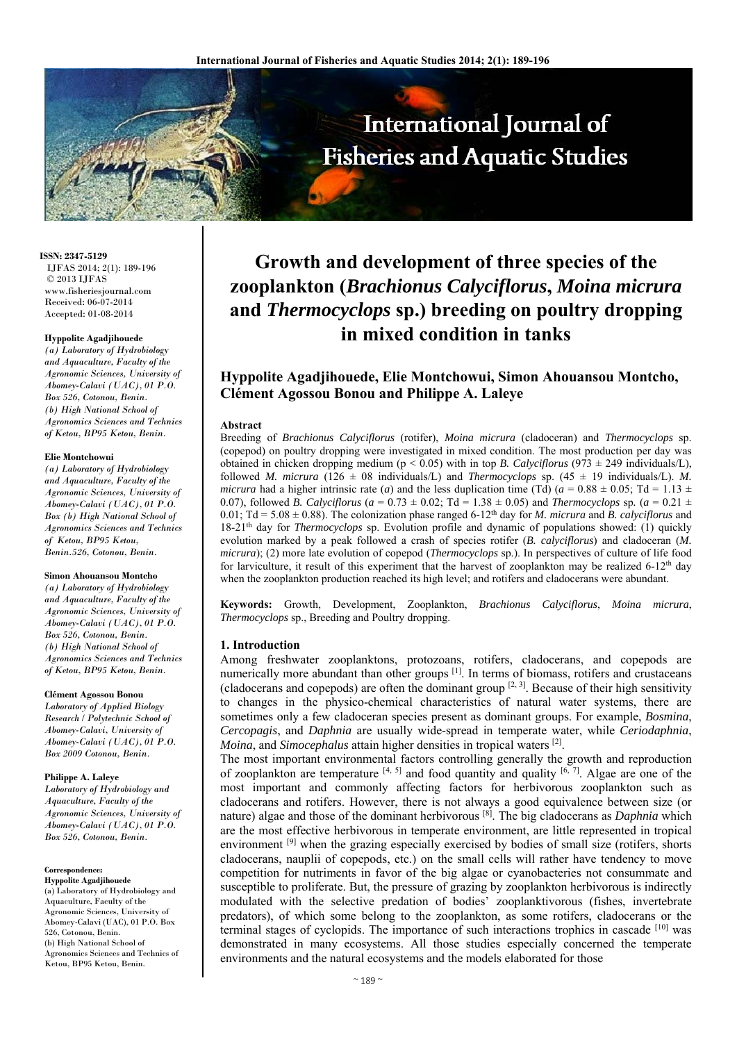

**ISSN: 2347-5129** IJFAS 2014; 2(1): 189-196 © 2013 IJFAS www.fisheriesjournal.com Received: 06-07-2014 Accepted: 01-08-2014

## **Hyppolite Agadjihouede**

*(a) Laboratory of Hydrobiology and Aquaculture, Faculty of the Agronomic Sciences, University of Abomey-Calavi (UAC), 01 P.O. Box 526, Cotonou, Benin. (b) High National School of Agronomics Sciences and Technics of Ketou, BP95 Ketou, Benin.* 

#### **Elie Montchowui**

*(a) Laboratory of Hydrobiology and Aquaculture, Faculty of the Agronomic Sciences, University of Abomey-Calavi (UAC), 01 P.O. Box (b) High National School of Agronomics Sciences and Technics of Ketou, BP95 Ketou, Benin.526, Cotonou, Benin.* 

#### **Simon Ahouansou Montcho**

*(a) Laboratory of Hydrobiology and Aquaculture, Faculty of the Agronomic Sciences, University of Abomey-Calavi (UAC), 01 P.O. Box 526, Cotonou, Benin. (b) High National School of Agronomics Sciences and Technics of Ketou, BP95 Ketou, Benin.* 

#### **Clément Agossou Bonou**

*Laboratory of Applied Biology Research / Polytechnic School of Abomey-Calavi, University of Abomey-Calavi (UAC), 01 P.O. Box 2009 Cotonou, Benin.* 

#### **Philippe A. Laleye**

*Laboratory of Hydrobiology and Aquaculture, Faculty of the Agronomic Sciences, University of Abomey-Calavi (UAC), 01 P.O. Box 526, Cotonou, Benin.*

**Correspondence:** 

**Hyppolite Agadjihouede** (a) Laboratory of Hydrobiology and Aquaculture, Faculty of the Agronomic Sciences, University of Abomey-Calavi (UAC), 01 P.O. Box 526, Cotonou, Benin. (b) High National School of Agronomics Sciences and Technics of Ketou, BP95 Ketou, Benin.

# **Growth and development of three species of the zooplankton (***Brachionus Calyciflorus***,** *Moina micrura* **and** *Thermocyclops* **sp.) breeding on poultry dropping in mixed condition in tanks**

## **Hyppolite Agadjihouede, Elie Montchowui, Simon Ahouansou Montcho, Clément Agossou Bonou and Philippe A. Laleye**

#### **Abstract**

Breeding of *Brachionus Calyciflorus* (rotifer), *Moina micrura* (cladoceran) and *Thermocyclops* sp. (copepod) on poultry dropping were investigated in mixed condition. The most production per day was obtained in chicken dropping medium (p < 0.05) with in top *B. Calyciflorus* (973 ± 249 individuals/L), followed *M. micrura* (126  $\pm$  08 individuals/L) and *Thermocyclops* sp. (45  $\pm$  19 individuals/L). *M. micrura* had a higher intrinsic rate (*a*) and the less duplication time (Td) ( $a = 0.88 \pm 0.05$ ; Td = 1.13  $\pm$ 0.07), followed *B. Calyciflorus* ( $a = 0.73 \pm 0.02$ ; Td = 1.38  $\pm$  0.05) and *Thermocyclops* sp. ( $a = 0.21 \pm 0.05$ ) 0.01; Td = 5.08  $\pm$  0.88). The colonization phase ranged 6-12<sup>th</sup> day for *M. micrura* and *B. calyciflorus* and 18-21th day for *Thermocyclops* sp. Evolution profile and dynamic of populations showed: (1) quickly evolution marked by a peak followed a crash of species rotifer (*B. calyciflorus*) and cladoceran (*M. micrura*); (2) more late evolution of copepod (*Thermocyclops* sp.). In perspectives of culture of life food for larviculture, it result of this experiment that the harvest of zooplankton may be realized  $6\text{-}12^{\text{th}}$  day when the zooplankton production reached its high level; and rotifers and cladocerans were abundant.

**Keywords:** Growth, Development, Zooplankton, *Brachionus Calyciflorus*, *Moina micrura*, *Thermocyclops* sp., Breeding and Poultry dropping.

#### **1. Introduction**

Among freshwater zooplanktons, protozoans, rotifers, cladocerans, and copepods are numerically more abundant than other groups [1]. In terms of biomass, rotifers and crustaceans (cladocerans and copepods) are often the dominant group  $[2, 3]$ . Because of their high sensitivity to changes in the physico-chemical characteristics of natural water systems, there are sometimes only a few cladoceran species present as dominant groups. For example, *Bosmina*, *Cercopagis*, and *Daphnia* are usually wide-spread in temperate water, while *Ceriodaphnia*, *Moina*, and *Simocephalus* attain higher densities in tropical waters [2].

The most important environmental factors controlling generally the growth and reproduction of zooplankton are temperature  $[4, 5]$  and food quantity and quality  $[6, 7]$ . Algae are one of the most important and commonly affecting factors for herbivorous zooplankton such as cladocerans and rotifers. However, there is not always a good equivalence between size (or nature) algae and those of the dominant herbivorous [8]. The big cladocerans as *Daphnia* which are the most effective herbivorous in temperate environment, are little represented in tropical environment <sup>[9]</sup> when the grazing especially exercised by bodies of small size (rotifers, shorts cladocerans, nauplii of copepods, etc.) on the small cells will rather have tendency to move competition for nutriments in favor of the big algae or cyanobacteries not consummate and susceptible to proliferate. But, the pressure of grazing by zooplankton herbivorous is indirectly modulated with the selective predation of bodies' zooplanktivorous (fishes, invertebrate predators), of which some belong to the zooplankton, as some rotifers, cladocerans or the terminal stages of cyclopids. The importance of such interactions trophics in cascade [10] was demonstrated in many ecosystems. All those studies especially concerned the temperate environments and the natural ecosystems and the models elaborated for those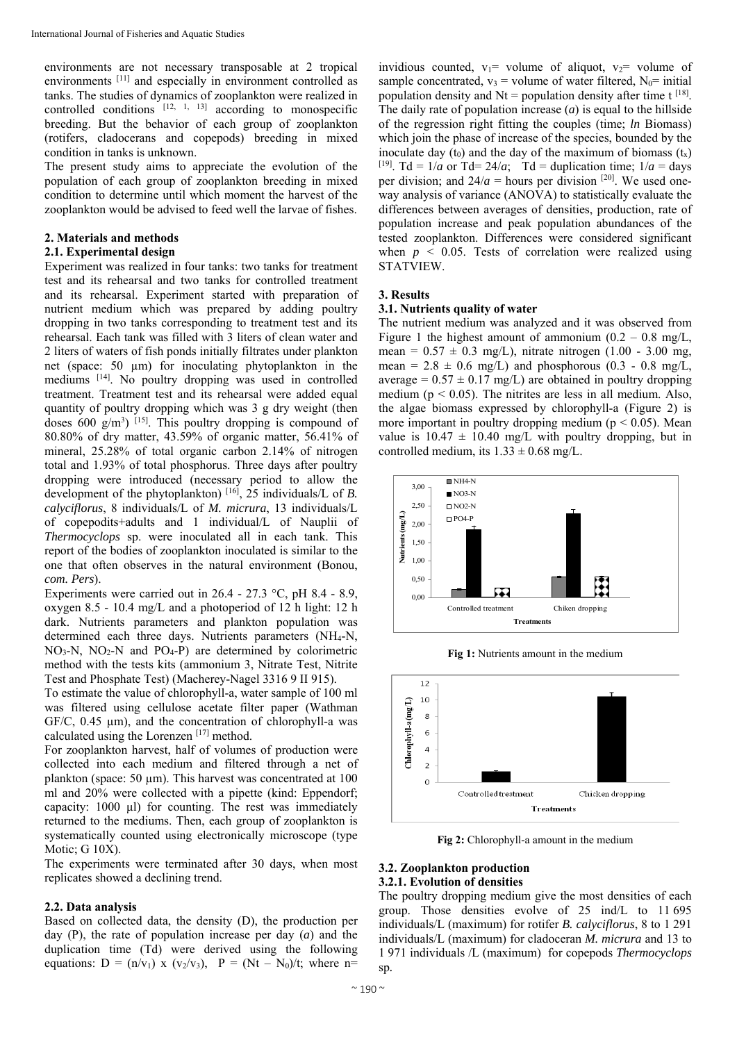environments are not necessary transposable at 2 tropical environments [11] and especially in environment controlled as tanks. The studies of dynamics of zooplankton were realized in controlled conditions  $[12, 1, 13]$  according to monospecific breeding. But the behavior of each group of zooplankton (rotifers, cladocerans and copepods) breeding in mixed condition in tanks is unknown.

The present study aims to appreciate the evolution of the population of each group of zooplankton breeding in mixed condition to determine until which moment the harvest of the zooplankton would be advised to feed well the larvae of fishes.

## **2. Materials and methods**

#### **2.1. Experimental design**

Experiment was realized in four tanks: two tanks for treatment test and its rehearsal and two tanks for controlled treatment and its rehearsal. Experiment started with preparation of nutrient medium which was prepared by adding poultry dropping in two tanks corresponding to treatment test and its rehearsal. Each tank was filled with 3 liters of clean water and 2 liters of waters of fish ponds initially filtrates under plankton net (space: 50 µm) for inoculating phytoplankton in the mediums [14]. No poultry dropping was used in controlled treatment. Treatment test and its rehearsal were added equal quantity of poultry dropping which was 3 g dry weight (then doses  $600 \text{ g/m}^3$ ) [15]. This poultry dropping is compound of 80.80% of dry matter, 43.59% of organic matter, 56.41% of mineral, 25.28% of total organic carbon 2.14% of nitrogen total and 1.93% of total phosphorus. Three days after poultry dropping were introduced (necessary period to allow the development of the phytoplankton) [16], 25 individuals/L of *B. calyciflorus*, 8 individuals/L of *M. micrura*, 13 individuals/L of copepodits+adults and 1 individual/L of Nauplii of *Thermocyclops* sp. were inoculated all in each tank. This report of the bodies of zooplankton inoculated is similar to the one that often observes in the natural environment (Bonou, *com. Pers*).

Experiments were carried out in 26.4 - 27.3 °C, pH 8.4 - 8.9, oxygen 8.5 - 10.4 mg/L and a photoperiod of 12 h light: 12 h dark. Nutrients parameters and plankton population was determined each three days. Nutrients parameters (NH<sub>4</sub>-N,  $NO<sub>3</sub>-N$ ,  $NO<sub>2</sub>-N$  and  $PO<sub>4</sub>-P$ ) are determined by colorimetric method with the tests kits (ammonium 3, Nitrate Test, Nitrite Test and Phosphate Test) (Macherey-Nagel 3316 9 II 915).

To estimate the value of chlorophyll-a, water sample of 100 ml was filtered using cellulose acetate filter paper (Wathman GF/C, 0.45 µm), and the concentration of chlorophyll-a was calculated using the Lorenzen  $[17]$  method.

For zooplankton harvest, half of volumes of production were collected into each medium and filtered through a net of plankton (space: 50 µm). This harvest was concentrated at 100 ml and 20% were collected with a pipette (kind: Eppendorf; capacity: 1000 μl) for counting. The rest was immediately returned to the mediums. Then, each group of zooplankton is systematically counted using electronically microscope (type Motic; G 10X).

The experiments were terminated after 30 days, when most replicates showed a declining trend.

## **2.2. Data analysis**

Based on collected data, the density (D), the production per day (P), the rate of population increase per day (*a*) and the duplication time (Td) were derived using the following equations:  $D = (n/v_1)$  x  $(v_2/v_3)$ ,  $P = (Nt - N_0)/t$ ; where n=

invidious counted,  $v_1$ = volume of aliquot,  $v_2$ = volume of sample concentrated,  $v_3$  = volume of water filtered,  $N_0$ = initial population density and  $Nt =$  population density after time  $t^{[18]}$ . The daily rate of population increase (*a*) is equal to the hillside of the regression right fitting the couples (time; *ln* Biomass) which join the phase of increase of the species, bounded by the inoculate day  $(t_0)$  and the day of the maximum of biomass  $(t_x)$ <sup>[19]</sup>. Td =  $1/a$  or Td=  $24/a$ ; Td = duplication time;  $1/a$  = days per division; and  $24/a$  = hours per division <sup>[20]</sup>. We used oneway analysis of variance (ANOVA) to statistically evaluate the differences between averages of densities, production, rate of population increase and peak population abundances of the tested zooplankton. Differences were considered significant when  $p \leq 0.05$ . Tests of correlation were realized using STATVIEW.

#### **3. Results**

## **3.1. Nutrients quality of water**

The nutrient medium was analyzed and it was observed from Figure 1 the highest amount of ammonium  $(0.2 - 0.8 \text{ mg/L})$ , mean =  $0.57 \pm 0.3$  mg/L), nitrate nitrogen (1.00 - 3.00 mg, mean =  $2.8 \pm 0.6$  mg/L) and phosphorous (0.3 - 0.8 mg/L, average =  $0.57 \pm 0.17$  mg/L) are obtained in poultry dropping medium ( $p < 0.05$ ). The nitrites are less in all medium. Also, the algae biomass expressed by chlorophyll-a (Figure 2) is more important in poultry dropping medium ( $p < 0.05$ ). Mean value is  $10.47 \pm 10.40$  mg/L with poultry dropping, but in controlled medium, its  $1.33 \pm 0.68$  mg/L.



**Fig 1:** Nutrients amount in the medium



**Fig 2:** Chlorophyll-a amount in the medium

#### **3.2. Zooplankton production 3.2.1. Evolution of densities**

The poultry dropping medium give the most densities of each group. Those densities evolve of 25 ind/L to 11 695 individuals/L (maximum) for rotifer *B. calyciflorus*, 8 to 1 291 individuals/L (maximum) for cladoceran *M. micrura* and 13 to 1 971 individuals /L (maximum) for copepods *Thermocyclops*  sp*.*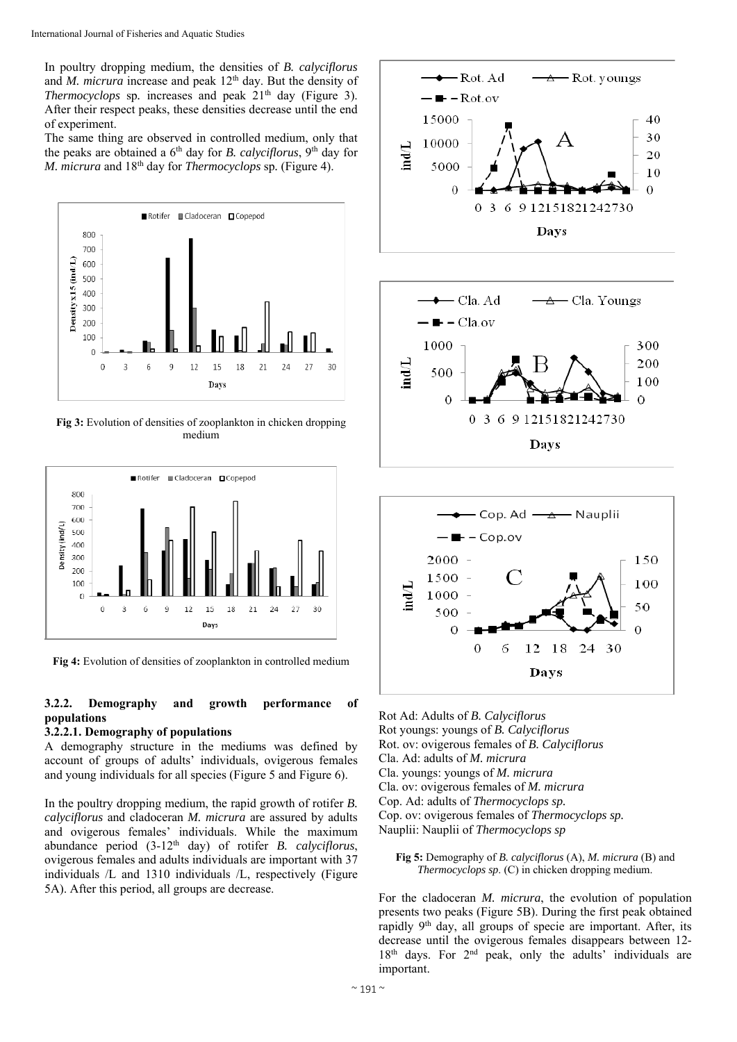In poultry dropping medium, the densities of *B. calyciflorus* and *M. micrura* increase and peak 12<sup>th</sup> day. But the density of *Thermocyclops sp.* increases and peak 21<sup>th</sup> day (Figure 3). After their respect peaks, these densities decrease until the end of experiment.

The same thing are observed in controlled medium, only that the peaks are obtained a 6<sup>th</sup> day for *B. calyciflorus*, 9<sup>th</sup> day for *M. micrura* and 18th day for *Thermocyclops* sp*.* (Figure 4).



**Fig 3:** Evolution of densities of zooplankton in chicken dropping medium



Fig 4: Evolution of densities of zooplankton in controlled medium

## **3.2.2. Demography and growth performance of populations**

#### **3.2.2.1. Demography of populations**

A demography structure in the mediums was defined by account of groups of adults' individuals, ovigerous females and young individuals for all species (Figure 5 and Figure 6).

In the poultry dropping medium, the rapid growth of rotifer *B. calyciflorus* and cladoceran *M. micrura* are assured by adults and ovigerous females' individuals. While the maximum abundance period (3-12th day) of rotifer *B. calyciflorus*, ovigerous females and adults individuals are important with 37 individuals /L and 1310 individuals /L, respectively (Figure 5A). After this period, all groups are decrease.



Rot Ad: Adults of *B. Calyciflorus* Rot youngs: youngs of *B. Calyciflorus* Rot. ov: ovigerous females of *B. Calyciflorus* Cla. Ad: adults of *M. micrura*  Cla. youngs: youngs of *M. micrura*  Cla. ov: ovigerous females of *M. micrura*  Cop. Ad: adults of *Thermocyclops sp.* Cop. ov: ovigerous females of *Thermocyclops sp.*  Nauplii: Nauplii of *Thermocyclops sp*

**Fig 5:** Demography of *B. calyciflorus* (A), *M. micrura* (B) and *Thermocyclops sp*. (C) in chicken dropping medium.

For the cladoceran *M. micrura*, the evolution of population presents two peaks (Figure 5B). During the first peak obtained rapidly 9th day, all groups of specie are important. After, its decrease until the ovigerous females disappears between 12-  $18<sup>th</sup>$  days. For  $2<sup>nd</sup>$  peak, only the adults' individuals are important.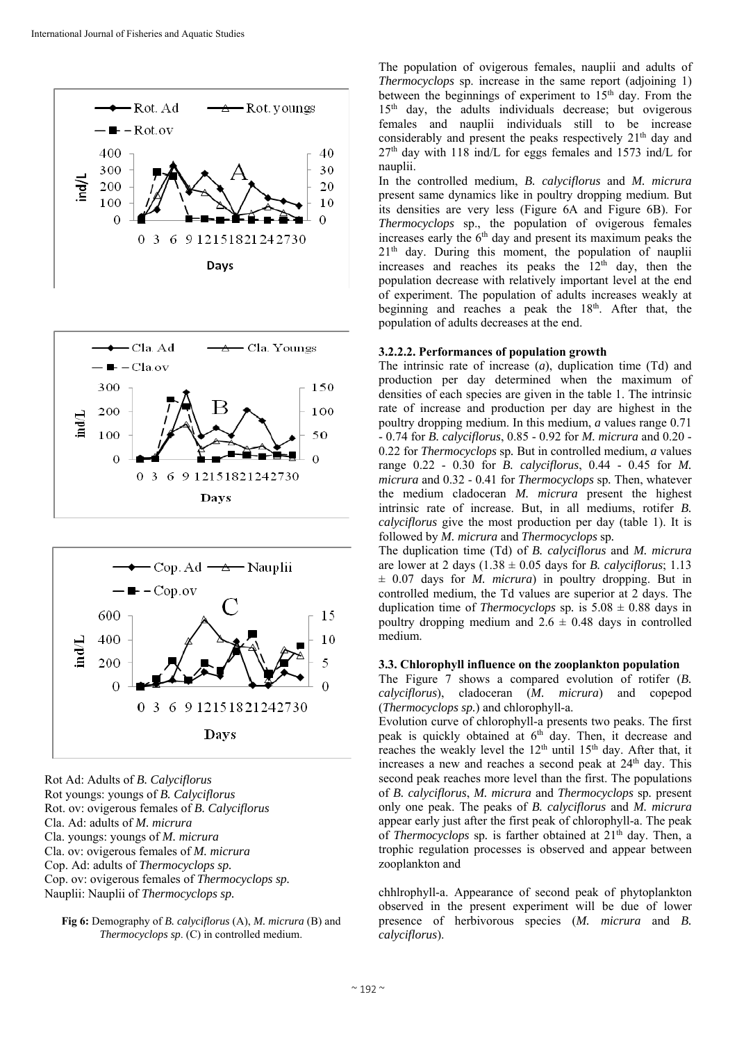





Rot Ad: Adults of *B. Calyciflorus* Rot youngs: youngs of *B. Calyciflorus* Rot. ov: ovigerous females of *B. Calyciflorus* Cla. Ad: adults of *M. micrura*  Cla. youngs: youngs of *M. micrura*  Cla. ov: ovigerous females of *M. micrura*  Cop. Ad: adults of *Thermocyclops sp.* Cop. ov: ovigerous females of *Thermocyclops sp.*  Nauplii: Nauplii of *Thermocyclops sp.*

**Fig 6:** Demography of *B. calyciflorus* (A), *M. micrura* (B) and *Thermocyclops sp*. (C) in controlled medium.

The population of ovigerous females, nauplii and adults of *Thermocyclops* sp. increase in the same report (adjoining 1) between the beginnings of experiment to 15<sup>th</sup> day. From the 15<sup>th</sup> day, the adults individuals decrease; but ovigerous females and nauplii individuals still to be increase considerably and present the peaks respectively 21<sup>th</sup> day and  $27<sup>th</sup>$  day with 118 ind/L for eggs females and 1573 ind/L for nauplii.

In the controlled medium, *B. calyciflorus* and *M. micrura* present same dynamics like in poultry dropping medium. But its densities are very less (Figure 6A and Figure 6B). For *Thermocyclops* sp., the population of ovigerous females increases early the  $6<sup>th</sup>$  day and present its maximum peaks the 21<sup>th</sup> day. During this moment, the population of nauplii increases and reaches its peaks the  $12<sup>th</sup>$  day, then the population decrease with relatively important level at the end of experiment. The population of adults increases weakly at beginning and reaches a peak the  $18<sup>th</sup>$ . After that, the population of adults decreases at the end.

## **3.2.2.2. Performances of population growth**

The intrinsic rate of increase (*a*), duplication time (Td) and production per day determined when the maximum of densities of each species are given in the table 1. The intrinsic rate of increase and production per day are highest in the poultry dropping medium. In this medium, *a* values range 0.71 - 0.74 for *B. calyciflorus*, 0.85 - 0.92 for *M. micrura* and 0.20 - 0.22 for *Thermocyclops* sp*.* But in controlled medium, *a* values range 0.22 - 0.30 for *B. calyciflorus*, 0.44 - 0.45 for *M. micrura* and 0.32 - 0.41 for *Thermocyclops* sp*.* Then, whatever the medium cladoceran *M. micrura* present the highest intrinsic rate of increase. But, in all mediums, rotifer *B. calyciflorus* give the most production per day (table 1). It is followed by *M. micrura* and *Thermocyclops* sp*.*

The duplication time (Td) of *B. calyciflorus* and *M. micrura* are lower at 2 days  $(1.38 \pm 0.05$  days for *B. calyciflorus*; 1.13 ± 0.07 days for *M. micrura*) in poultry dropping. But in controlled medium, the Td values are superior at 2 days. The duplication time of *Thermocyclops* sp. is  $5.08 \pm 0.88$  days in poultry dropping medium and  $2.6 \pm 0.48$  days in controlled medium.

## **3.3. Chlorophyll influence on the zooplankton population**

The Figure 7 shows a compared evolution of rotifer (*B. calyciflorus*), cladoceran (*M. micrura*) and copepod (*Thermocyclops sp.*) and chlorophyll-a.

Evolution curve of chlorophyll-a presents two peaks. The first peak is quickly obtained at  $6<sup>th</sup>$  day. Then, it decrease and reaches the weakly level the 12<sup>th</sup> until 15<sup>th</sup> day. After that, it increases a new and reaches a second peak at  $24<sup>th</sup>$  day. This second peak reaches more level than the first. The populations of *B. calyciflorus*, *M. micrura* and *Thermocyclops* sp*.* present only one peak. The peaks of *B. calyciflorus* and *M. micrura* appear early just after the first peak of chlorophyll-a. The peak of *Thermocyclops* sp*.* is farther obtained at 21th day. Then, a trophic regulation processes is observed and appear between zooplankton and

chhlrophyll-a. Appearance of second peak of phytoplankton observed in the present experiment will be due of lower presence of herbivorous species (*M. micrura* and *B. calyciflorus*).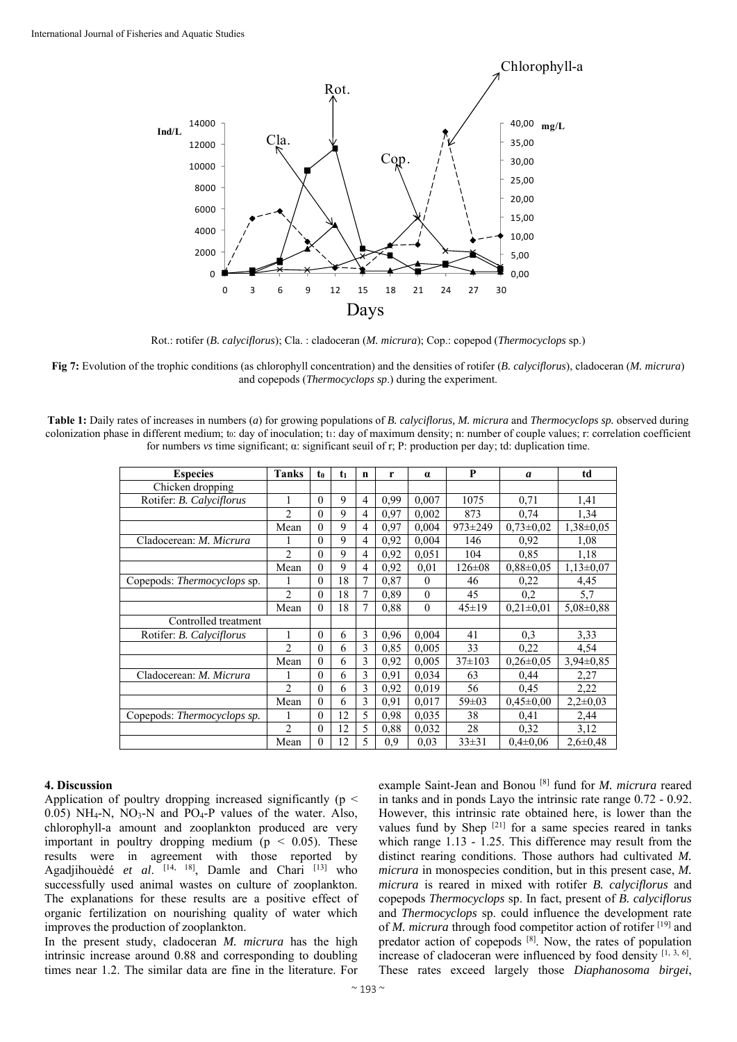

Rot.: rotifer (*B. calyciflorus*); Cla. : cladoceran (*M. micrura*); Cop.: copepod (*Thermocyclops* sp.)

**Fig 7:** Evolution of the trophic conditions (as chlorophyll concentration) and the densities of rotifer (*B. calyciflorus*), cladoceran (*M. micrura*) and copepods (*Thermocyclops sp*.) during the experiment.

**Table 1:** Daily rates of increases in numbers (*a*) for growing populations of *B. calyciflorus, M. micrura* and *Thermocyclops sp.* observed during colonization phase in different medium; to: day of inoculation; t1: day of maximum density; n: number of couple values; r: correlation coefficient for numbers *vs* time significant; α: significant seuil of r; P: production per day; td: duplication time.

| <b>Especies</b>                    | <b>Tanks</b>   | t <sub>0</sub> | t <sub>1</sub> | n | r    | $\alpha$ | P             | a               | td              |
|------------------------------------|----------------|----------------|----------------|---|------|----------|---------------|-----------------|-----------------|
| Chicken dropping                   |                |                |                |   |      |          |               |                 |                 |
| Rotifer: B. Calvciflorus           |                | $\theta$       | 9              | 4 | 0.99 | 0,007    | 1075          | 0,71            | 1,41            |
|                                    | $\overline{2}$ | $\theta$       | 9              | 4 | 0.97 | 0,002    | 873           | 0.74            | 1.34            |
|                                    | Mean           | $\theta$       | 9              | 4 | 0.97 | 0,004    | $973 \pm 249$ | $0,73\pm0,02$   | $1,38\pm0.05$   |
| Cladocerean: <i>M. Micrura</i>     |                | $\theta$       | $\mathbf Q$    | 4 | 0.92 | 0.004    | 146           | 0.92            | 1.08            |
|                                    | $\overline{2}$ | $\theta$       | 9              | 4 | 0.92 | 0.051    | 104           | 0,85            | 1,18            |
|                                    | Mean           | $\theta$       | 9              | 4 | 0.92 | 0.01     | $126 \pm 08$  | $0.88 \pm 0.05$ | $1,13\pm0.07$   |
| Copepods: <i>Thermocyclops</i> sp. |                | $\theta$       | 18             | 7 | 0,87 | $\theta$ | 46            | 0,22            | 4,45            |
|                                    | $\overline{2}$ | $\theta$       | 18             | 7 | 0.89 | $\theta$ | 45            | 0,2             | 5,7             |
|                                    | Mean           | $\theta$       | 18             | 7 | 0.88 | $\theta$ | $45 \pm 19$   | $0.21 \pm 0.01$ | $5,08\pm0,88$   |
| Controlled treatment               |                |                |                |   |      |          |               |                 |                 |
| Rotifer: <i>B. Calvciflorus</i>    | 1              | $\theta$       | 6              | 3 | 0.96 | 0.004    | 41            | 0,3             | 3,33            |
|                                    | $\overline{2}$ | $\theta$       | 6              | 3 | 0.85 | 0.005    | 33            | 0,22            | 4,54            |
|                                    | Mean           | $\theta$       | 6              | 3 | 0,92 | 0.005    | $37\pm103$    | $0.26 \pm 0.05$ | $3.94 \pm 0.85$ |
| Cladocerean: <i>M. Micrura</i>     | 1              | $\theta$       | 6              | 3 | 0.91 | 0.034    | 63            | 0,44            | 2,27            |
|                                    | $\mathfrak{D}$ | $\theta$       | 6              | 3 | 0.92 | 0.019    | 56            | 0.45            | 2,22            |
|                                    | Mean           | $\theta$       | 6              | 3 | 0,91 | 0,017    | $59 \pm 03$   | $0,45\pm0,00$   | $2,2\pm0,03$    |
| Copepods: Thermocyclops sp.        |                | $\theta$       | 12             | 5 | 0.98 | 0.035    | 38            | 0.41            | 2,44            |
|                                    | $\overline{2}$ | $\theta$       | 12             | 5 | 0,88 | 0,032    | 28            | 0,32            | 3,12            |
|                                    | Mean           | $\theta$       | 12             | 5 | 0.9  | 0.03     | $33 \pm 31$   | $0.4 \pm 0.06$  | $2,6 \pm 0,48$  |

#### **4. Discussion**

Application of poultry dropping increased significantly ( $p \leq$ 0.05) NH<sub>4</sub>-N, NO<sub>3</sub>-N and PO<sub>4</sub>-P values of the water. Also, chlorophyll-a amount and zooplankton produced are very important in poultry dropping medium ( $p < 0.05$ ). These results were in agreement with those reported by Agadjihouèdé et al. [14, 18], Damle and Chari <sup>[13]</sup> who successfully used animal wastes on culture of zooplankton. The explanations for these results are a positive effect of organic fertilization on nourishing quality of water which improves the production of zooplankton.

In the present study, cladoceran *M. micrura* has the high intrinsic increase around 0.88 and corresponding to doubling times near 1.2. The similar data are fine in the literature. For example Saint-Jean and Bonou [8] fund for *M. micrura* reared in tanks and in ponds Layo the intrinsic rate range 0.72 - 0.92. However, this intrinsic rate obtained here, is lower than the values fund by Shep [21] for a same species reared in tanks which range 1.13 - 1.25. This difference may result from the distinct rearing conditions. Those authors had cultivated *M. micrura* in monospecies condition, but in this present case, *M. micrura* is reared in mixed with rotifer *B. calyciflorus* and copepods *Thermocyclops* sp. In fact, present of *B. calyciflorus* and *Thermocyclops* sp. could influence the development rate of *M. micrura* through food competitor action of rotifer [19] and predator action of copepods [8]. Now, the rates of population increase of cladoceran were influenced by food density  $[1, 3, 6]$ . These rates exceed largely those *Diaphanosoma birgei*,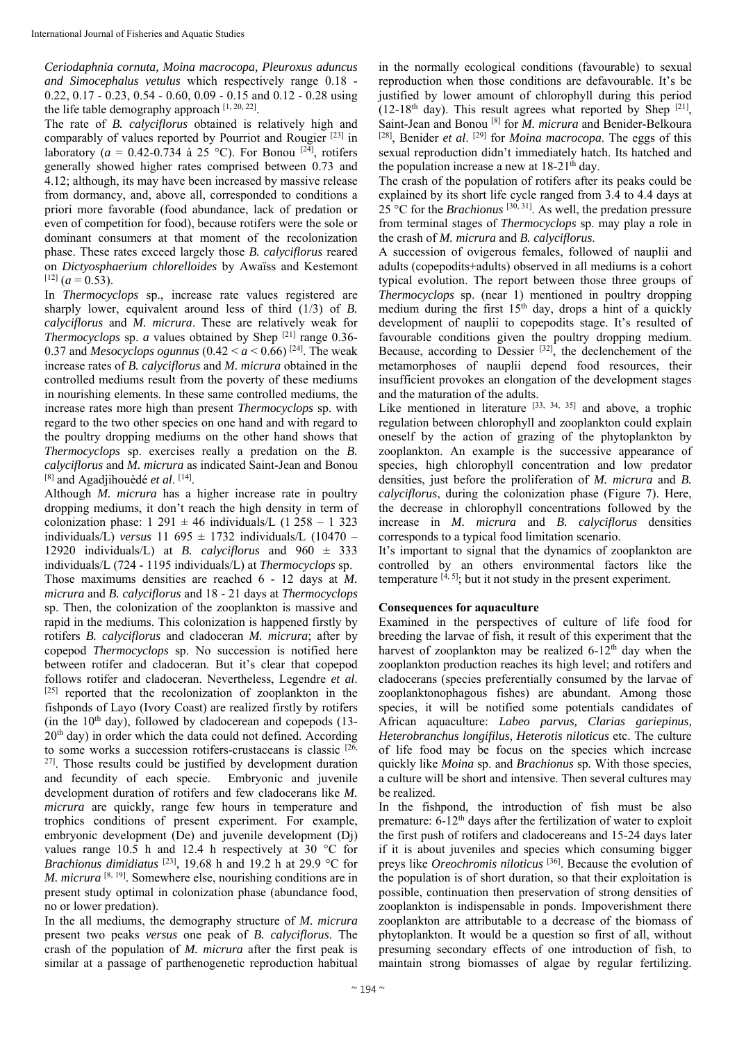*Ceriodaphnia cornuta, Moina macrocopa, Pleuroxus aduncus and Simocephalus vetulus* which respectively range 0.18 - 0.22, 0.17 - 0.23, 0.54 - 0.60, 0.09 - 0.15 and 0.12 - 0.28 using the life table demography approach [1, 20, 22].

The rate of *B. calyciflorus* obtained is relatively high and comparably of values reported by Pourriot and Rougier [23] in laboratory ( $a = 0.42$ -0.734 à 25 °C). For Bonou <sup>[24]</sup>, rotifers generally showed higher rates comprised between 0.73 and 4.12; although, its may have been increased by massive release from dormancy, and, above all, corresponded to conditions a priori more favorable (food abundance, lack of predation or even of competition for food), because rotifers were the sole or dominant consumers at that moment of the recolonization phase. These rates exceed largely those *B. calyciflorus* reared on *Dictyosphaerium chlorelloides* by Awaïss and Kestemont  $[12]$  (*a* = 0.53).

In *Thermocyclops* sp., increase rate values registered are sharply lower, equivalent around less of third (1/3) of *B*. *calyciflorus* and *M. micrura*. These are relatively weak for *Thermocyclops sp. <i>a* values obtained by Shep <sup>[21]</sup> range 0.36-0.37 and *Mesocyclops ogunnus* (0.42 <  $a$  < 0.66)<sup>[24]</sup>. The weak increase rates of *B. calyciflorus* and *M. micrura* obtained in the controlled mediums result from the poverty of these mediums in nourishing elements. In these same controlled mediums, the increase rates more high than present *Thermocyclops* sp. with regard to the two other species on one hand and with regard to the poultry dropping mediums on the other hand shows that *Thermocyclops* sp. exercises really a predation on the *B. calyciflorus* and *M. micrura* as indicated Saint-Jean and Bonou [8] and Agadjihouèdé *et al*. [14].

Although *M. micrura* has a higher increase rate in poultry dropping mediums, it don't reach the high density in term of colonization phase:  $1\ 291 \pm 46$  individuals/L (1 258 – 1 323) individuals/L) *versus* 11 695  $\pm$  1732 individuals/L (10470 – 12920 individuals/L) at *B. calyciflorus* and 960 ± 333 individuals/L (724 - 1195 individuals/L) at *Thermocyclops* sp. Those maximums densities are reached 6 - 12 days at *M. micrura* and *B. calyciflorus* and 18 - 21 days at *Thermocyclops*  sp. Then, the colonization of the zooplankton is massive and rapid in the mediums. This colonization is happened firstly by rotifers *B. calyciflorus* and cladoceran *M. micrura*; after by copepod *Thermocyclops* sp. No succession is notified here between rotifer and cladoceran. But it's clear that copepod follows rotifer and cladoceran. Nevertheless, Legendre *et al*. [25] reported that the recolonization of zooplankton in the fishponds of Layo (Ivory Coast) are realized firstly by rotifers (in the  $10<sup>th</sup>$  day), followed by cladocerean and copepods (13- $20<sup>th</sup>$  day) in order which the data could not defined. According to some works a succession rotifers-crustaceans is classic [26, 27]. Those results could be justified by development duration and fecundity of each specie. Embryonic and juvenile development duration of rotifers and few cladocerans like *M. micrura* are quickly, range few hours in temperature and trophics conditions of present experiment. For example, embryonic development (De) and juvenile development (Dj) values range 10.5 h and 12.4 h respectively at 30 °C for *Brachionus dimidiatus* [23], 19.68 h and 19.2 h at 29.9 °C for *M. micrura* <sup>[8, 19]</sup>. Somewhere else, nourishing conditions are in present study optimal in colonization phase (abundance food, no or lower predation).

In the all mediums, the demography structure of *M. micrura* present two peaks *versus* one peak of *B. calyciflorus*. The crash of the population of *M. micrura* after the first peak is similar at a passage of parthenogenetic reproduction habitual in the normally ecological conditions (favourable) to sexual reproduction when those conditions are defavourable. It's be justified by lower amount of chlorophyll during this period  $(12-18<sup>th</sup>$  day). This result agrees what reported by Shep  $[21]$ , Saint-Jean and Bonou [8] for *M. micrura* and Benider-Belkoura [28], Benider *et al*. [29] for *Moina macrocopa*. The eggs of this sexual reproduction didn't immediately hatch. Its hatched and the population increase a new at  $18-21<sup>th</sup>$  day.

The crash of the population of rotifers after its peaks could be explained by its short life cycle ranged from 3.4 to 4.4 days at  $25^{\circ}$ C for the *Brachionus* <sup>[30, 31]</sup>. As well, the predation pressure from terminal stages of *Thermocyclops* sp. may play a role in the crash of *M. micrura* and *B. calyciflorus*.

A succession of ovigerous females, followed of nauplii and adults (copepodits+adults) observed in all mediums is a cohort typical evolution. The report between those three groups of *Thermocyclops* sp. (near 1) mentioned in poultry dropping medium during the first  $15<sup>th</sup>$  day, drops a hint of a quickly development of nauplii to copepodits stage. It's resulted of favourable conditions given the poultry dropping medium. Because, according to Dessier [32], the declenchement of the metamorphoses of nauplii depend food resources, their insufficient provokes an elongation of the development stages and the maturation of the adults.

Like mentioned in literature  $[33, 34, 35]$  and above, a trophic regulation between chlorophyll and zooplankton could explain oneself by the action of grazing of the phytoplankton by zooplankton. An example is the successive appearance of species, high chlorophyll concentration and low predator densities, just before the proliferation of *M. micrura* and *B. calyciflorus*, during the colonization phase (Figure 7). Here, the decrease in chlorophyll concentrations followed by the increase in *M. micrura* and *B. calyciflorus* densities corresponds to a typical food limitation scenario.

It's important to signal that the dynamics of zooplankton are controlled by an others environmental factors like the temperature  $[4, 5]$ ; but it not study in the present experiment.

## **Consequences for aquaculture**

Examined in the perspectives of culture of life food for breeding the larvae of fish, it result of this experiment that the harvest of zooplankton may be realized  $6-12<sup>th</sup>$  day when the zooplankton production reaches its high level; and rotifers and cladocerans (species preferentially consumed by the larvae of zooplanktonophagous fishes) are abundant. Among those species, it will be notified some potentials candidates of African aquaculture: *Labeo parvus, Clarias gariepinus, Heterobranchus longifilus, Heterotis niloticus* etc. The culture of life food may be focus on the species which increase quickly like *Moina* sp. and *Brachionus* sp*.* With those species, a culture will be short and intensive. Then several cultures may be realized.

In the fishpond, the introduction of fish must be also premature:  $6-12<sup>th</sup>$  days after the fertilization of water to exploit the first push of rotifers and cladocereans and 15-24 days later if it is about juveniles and species which consuming bigger preys like *Oreochromis niloticus* [36]. Because the evolution of the population is of short duration, so that their exploitation is possible, continuation then preservation of strong densities of zooplankton is indispensable in ponds. Impoverishment there zooplankton are attributable to a decrease of the biomass of phytoplankton. It would be a question so first of all, without presuming secondary effects of one introduction of fish, to maintain strong biomasses of algae by regular fertilizing.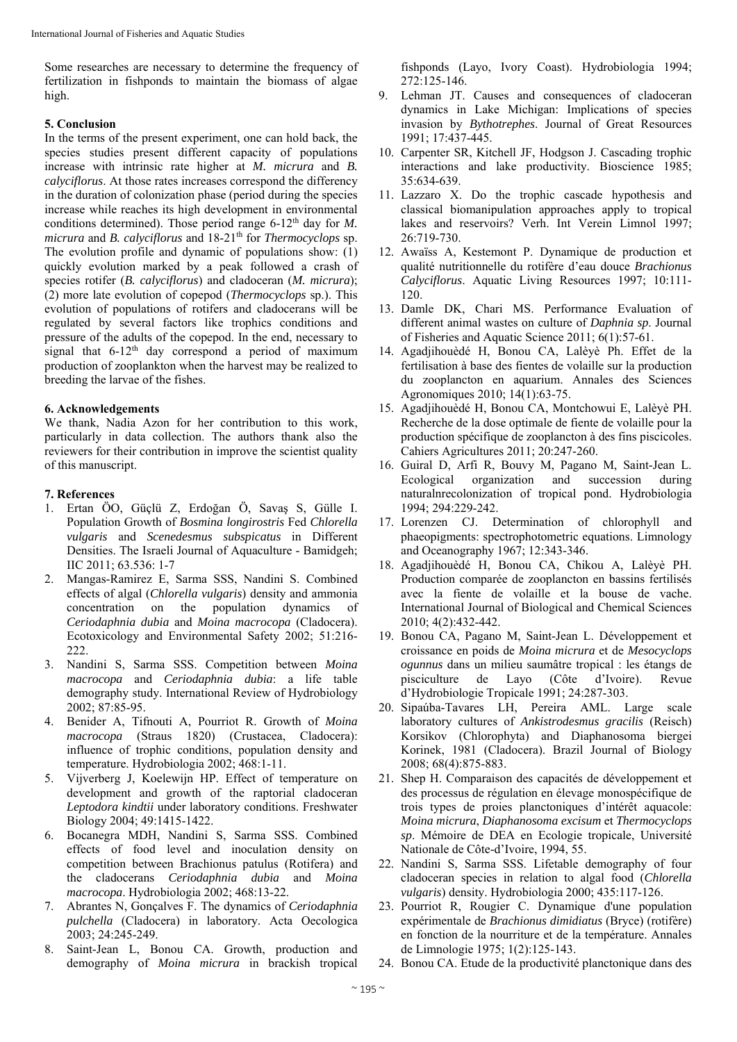Some researches are necessary to determine the frequency of fertilization in fishponds to maintain the biomass of algae high.

## **5. Conclusion**

In the terms of the present experiment, one can hold back, the species studies present different capacity of populations increase with intrinsic rate higher at *M. micrura* and *B. calyciflorus*. At those rates increases correspond the differency in the duration of colonization phase (period during the species increase while reaches its high development in environmental conditions determined). Those period range 6-12<sup>th</sup> day for *M*. *micrura* and *B. calyciflorus* and  $18-21$ <sup>th</sup> for *Thermocyclops* sp. The evolution profile and dynamic of populations show: (1) quickly evolution marked by a peak followed a crash of species rotifer (*B. calyciflorus*) and cladoceran (*M. micrura*); (2) more late evolution of copepod (*Thermocyclops* sp.). This evolution of populations of rotifers and cladocerans will be regulated by several factors like trophics conditions and pressure of the adults of the copepod. In the end, necessary to signal that  $6-12<sup>th</sup>$  day correspond a period of maximum production of zooplankton when the harvest may be realized to breeding the larvae of the fishes.

## **6. Acknowledgements**

We thank, Nadia Azon for her contribution to this work, particularly in data collection. The authors thank also the reviewers for their contribution in improve the scientist quality of this manuscript.

## **7. References**

- 1. Ertan ÖO, Güçlü Z, Erdoğan Ö, Savaş S, Gülle I. Population Growth of *Bosmina longirostris* Fed *Chlorella vulgaris* and *Scenedesmus subspicatus* in Different Densities. The Israeli Journal of Aquaculture - Bamidgeh; IIC 2011; 63.536: 1-7
- 2. Mangas-Ramirez E, Sarma SSS, Nandini S. Combined effects of algal (*Chlorella vulgaris*) density and ammonia concentration on the population dynamics of *Ceriodaphnia dubia* and *Moina macrocopa* (Cladocera). Ecotoxicology and Environmental Safety 2002; 51:216- 222.
- 3. Nandini S, Sarma SSS. Competition between *Moina macrocopa* and *Ceriodaphnia dubia*: a life table demography study. International Review of Hydrobiology 2002; 87:85-95.
- 4. Benider A, Tifnouti A, Pourriot R. Growth of *Moina macrocopa* (Straus 1820) (Crustacea, Cladocera): influence of trophic conditions, population density and temperature. Hydrobiologia 2002; 468:1-11.
- 5. Vijverberg J, Koelewijn HP. Effect of temperature on development and growth of the raptorial cladoceran *Leptodora kindtii* under laboratory conditions. Freshwater Biology 2004; 49:1415-1422.
- 6. Bocanegra MDH, Nandini S, Sarma SSS. Combined effects of food level and inoculation density on competition between Brachionus patulus (Rotifera) and the cladocerans *Ceriodaphnia dubia* and *Moina macrocopa*. Hydrobiologia 2002; 468:13-22.
- 7. Abrantes N, Gonçalves F. The dynamics of *Ceriodaphnia pulchella* (Cladocera) in laboratory. Acta Oecologica 2003; 24:245-249.
- 8. Saint-Jean L, Bonou CA. Growth, production and demography of *Moina micrura* in brackish tropical

fishponds (Layo, Ivory Coast). Hydrobiologia 1994; 272:125-146.

- 9. Lehman JT. Causes and consequences of cladoceran dynamics in Lake Michigan: Implications of species invasion by *Bythotrephes*. Journal of Great Resources 1991; 17:437-445.
- 10. Carpenter SR, Kitchell JF, Hodgson J. Cascading trophic interactions and lake productivity. Bioscience 1985; 35:634-639.
- 11. Lazzaro X. Do the trophic cascade hypothesis and classical biomanipulation approaches apply to tropical lakes and reservoirs? Verh. Int Verein Limnol 1997; 26:719-730.
- 12. Awaïss A, Kestemont P. Dynamique de production et qualité nutritionnelle du rotifère d'eau douce *Brachionus Calyciflorus*. Aquatic Living Resources 1997; 10:111- 120.
- 13. Damle DK, Chari MS. Performance Evaluation of different animal wastes on culture of *Daphnia sp*. Journal of Fisheries and Aquatic Science 2011; 6(1):57-61.
- 14. Agadjihouèdé H, Bonou CA, Lalèyè Ph. Effet de la fertilisation à base des fientes de volaille sur la production du zooplancton en aquarium. Annales des Sciences Agronomiques 2010; 14(1):63-75.
- 15. Agadjihouèdé H, Bonou CA, Montchowui E, Lalèyè PH. Recherche de la dose optimale de fiente de volaille pour la production spécifique de zooplancton à des fins piscicoles. Cahiers Agricultures 2011; 20:247-260.
- 16. Guiral D, Arfi R, Bouvy M, Pagano M, Saint-Jean L. Ecological organization and succession during naturalnrecolonization of tropical pond. Hydrobiologia 1994; 294:229-242.
- 17. Lorenzen CJ. Determination of chlorophyll and phaeopigments: spectrophotometric equations. Limnology and Oceanography 1967; 12:343-346.
- 18. Agadjihouèdé H, Bonou CA, Chikou A, Lalèyè PH. Production comparée de zooplancton en bassins fertilisés avec la fiente de volaille et la bouse de vache. International Journal of Biological and Chemical Sciences 2010; 4(2):432-442.
- 19. Bonou CA, Pagano M, Saint-Jean L. Développement et croissance en poids de *Moina micrura* et de *Mesocyclops ogunnus* dans un milieu saumâtre tropical : les étangs de pisciculture de Layo (Côte d'Ivoire). Revue d'Hydrobiologie Tropicale 1991; 24:287-303.
- 20. Sipaúba-Tavares LH, Pereira AML. Large scale laboratory cultures of *Ankistrodesmus gracilis* (Reisch) Korsikov (Chlorophyta) and Diaphanosoma biergei Korinek, 1981 (Cladocera). Brazil Journal of Biology 2008; 68(4):875-883.
- 21. Shep H. Comparaison des capacités de développement et des processus de régulation en élevage monospécifique de trois types de proies planctoniques d'intérêt aquacole: *Moina micrura*, *Diaphanosoma excisum* et *Thermocyclops sp*. Mémoire de DEA en Ecologie tropicale, Université Nationale de Côte-d'Ivoire, 1994, 55.
- 22. Nandini S, Sarma SSS. Lifetable demography of four cladoceran species in relation to algal food (*Chlorella vulgaris*) density. Hydrobiologia 2000; 435:117-126.
- 23. Pourriot R, Rougier C. Dynamique d'une population expérimentale de *Brachionus dimidiatus* (Bryce) (rotifère) en fonction de la nourriture et de la température. Annales de Limnologie 1975; 1(2):125-143.
- 24. Bonou CA. Etude de la productivité planctonique dans des